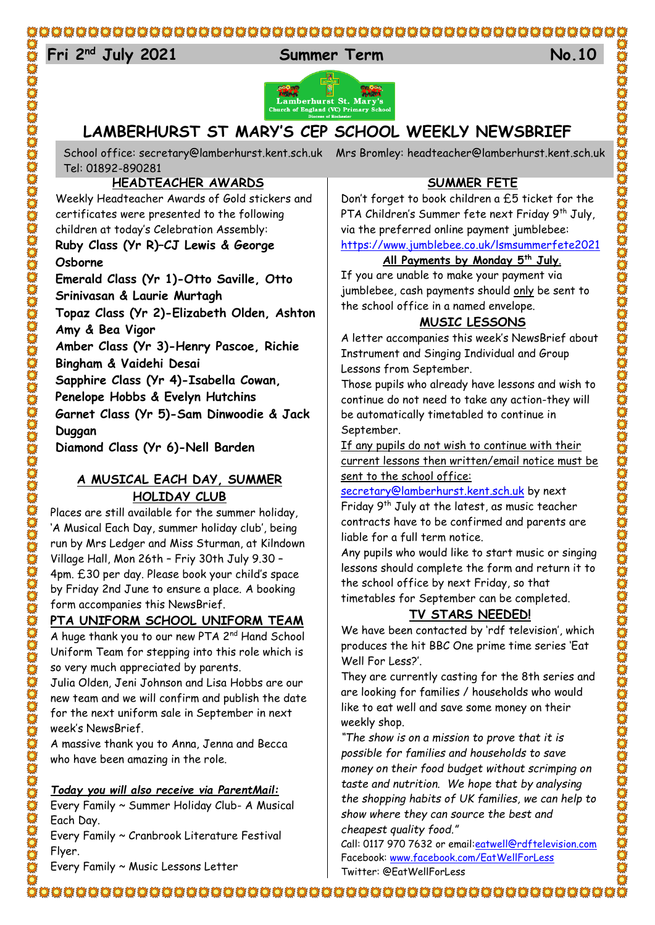## 

# 24 **Fri 2nd July 2021 Summer Term No.10**



# **LAMBERHURST ST MARY'S CEP SCHOOL WEEKLY NEWSBRIEF**

School office: [secretary@lamberhurst.kent.sch.uk](mailto:secretary@lamberhurst.kent.sch.uk) Mrs Bromley: headteacher@lamberhurst.kent.sch.uk Tel: 01892-890281

## **HEADTEACHER AWARDS**

Weekly Headteacher Awards of Gold stickers and certificates were presented to the following children at today's Celebration Assembly: **Ruby Class (Yr R)–CJ Lewis & George Osborne**

**Emerald Class (Yr 1)-Otto Saville, Otto Srinivasan & Laurie Murtagh Topaz Class (Yr 2)-Elizabeth Olden, Ashton Amy & Bea Vigor Amber Class (Yr 3)-Henry Pascoe, Richie Bingham & Vaidehi Desai Sapphire Class (Yr 4)-Isabella Cowan, Penelope Hobbs & Evelyn Hutchins Garnet Class (Yr 5)-Sam Dinwoodie & Jack Duggan**

**Diamond Class (Yr 6)-Nell Barden**

#### **A MUSICAL EACH DAY, SUMMER HOLIDAY CLUB**

Places are still available for the summer holiday, 'A Musical Each Day, summer holiday club', being run by Mrs Ledger and Miss Sturman, at Kilndown Village Hall, Mon 26th – Friy 30th July 9.30 – 4pm. £30 per day. Please book your child's space by Friday 2nd June to ensure a place. A booking form accompanies this NewsBrief.

#### **PTA UNIFORM SCHOOL UNIFORM TEAM**

A huge thank you to our new PTA 2<sup>nd</sup> Hand School Uniform Team for stepping into this role which is so very much appreciated by parents.

Julia Olden, Jeni Johnson and Lisa Hobbs are our new team and we will confirm and publish the date for the next uniform sale in September in next week's NewsBrief.

A massive thank you to Anna, Jenna and Becca who have been amazing in the role.

#### *Today you will also receive via ParentMail:*

Every Family ~ Summer Holiday Club- A Musical Each Day.

Every Family ~ Cranbrook Literature Festival Flyer.

Every Family ~ Music Lessons Letter

#### **SUMMER FETE**

Don't forget to book children a £5 ticket for the PTA Children's Summer fete next Friday 9<sup>th</sup> July, via the preferred online payment jumblebee: <https://www.jumblebee.co.uk/lsmsummerfete2021>

#### **All Payments by Monday 5th July**.

If you are unable to make your payment via jumblebee, cash payments should only be sent to the school office in a named envelope.

#### **MUSIC LESSONS**

A letter accompanies this week's NewsBrief about Instrument and Singing Individual and Group Lessons from September.

Those pupils who already have lessons and wish to continue do not need to take any action-they will be automatically timetabled to continue in September.

If any pupils do not wish to continue with their current lessons then written/email notice must be sent to the school office:

[secretary@lamberhurst.kent.sch.uk](mailto:secretary@lamberhurst.kent.sch.uk) by next Friday 9th July at the latest, as music teacher

contracts have to be confirmed and parents are liable for a full term notice.

Any pupils who would like to start music or singing lessons should complete the form and return it to the school office by next Friday, so that timetables for September can be completed.

#### **TV STARS NEEDED!**

We have been contacted by 'rdf television', which produces the hit BBC One prime time series 'Eat Well For Less?'.

They are currently casting for the 8th series and are looking for families / households who would like to eat well and save some money on their weekly shop.

*"The show is on a mission to prove that it is possible for families and households to save money on their food budget without scrimping on taste and nutrition. We hope that by analysing the shopping habits of UK families, we can help to show where they can source the best and cheapest quality food."*

Call: 0117 970 7632 or email: eatwell@rdftelevision.com Facebook: [www.facebook.com/EatWellForLess](http://www.facebook.com/EatWellForLess) Twitter: @EatWellForLess